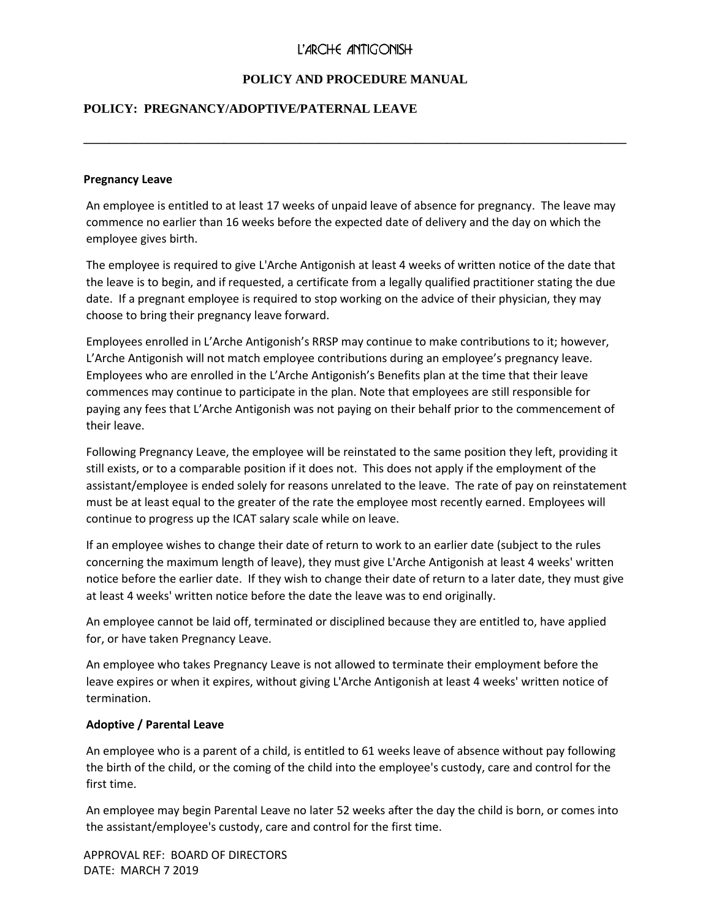# L'ARCHE ANTIGONISH

## **POLICY AND PROCEDURE MANUAL**

**\_\_\_\_\_\_\_\_\_\_\_\_\_\_\_\_\_\_\_\_\_\_\_\_\_\_\_\_\_\_\_\_\_\_\_\_\_\_\_\_\_\_\_\_\_\_\_\_\_\_\_\_\_\_\_\_\_\_\_\_\_\_\_\_\_\_\_\_\_\_\_\_\_\_\_\_\_\_\_\_\_\_\_\_\_**

## **POLICY: PREGNANCY/ADOPTIVE/PATERNAL LEAVE**

#### **Pregnancy Leave**

An employee is entitled to at least 17 weeks of unpaid leave of absence for pregnancy. The leave may commence no earlier than 16 weeks before the expected date of delivery and the day on which the employee gives birth.

The employee is required to give L'Arche Antigonish at least 4 weeks of written notice of the date that the leave is to begin, and if requested, a certificate from a legally qualified practitioner stating the due date. If a pregnant employee is required to stop working on the advice of their physician, they may choose to bring their pregnancy leave forward.

Employees enrolled in L'Arche Antigonish's RRSP may continue to make contributions to it; however, L'Arche Antigonish will not match employee contributions during an employee's pregnancy leave. Employees who are enrolled in the L'Arche Antigonish's Benefits plan at the time that their leave commences may continue to participate in the plan. Note that employees are still responsible for paying any fees that L'Arche Antigonish was not paying on their behalf prior to the commencement of their leave.

Following Pregnancy Leave, the employee will be reinstated to the same position they left, providing it still exists, or to a comparable position if it does not. This does not apply if the employment of the assistant/employee is ended solely for reasons unrelated to the leave. The rate of pay on reinstatement must be at least equal to the greater of the rate the employee most recently earned. Employees will continue to progress up the ICAT salary scale while on leave.

If an employee wishes to change their date of return to work to an earlier date (subject to the rules concerning the maximum length of leave), they must give L'Arche Antigonish at least 4 weeks' written notice before the earlier date. If they wish to change their date of return to a later date, they must give at least 4 weeks' written notice before the date the leave was to end originally.

An employee cannot be laid off, terminated or disciplined because they are entitled to, have applied for, or have taken Pregnancy Leave.

An employee who takes Pregnancy Leave is not allowed to terminate their employment before the leave expires or when it expires, without giving L'Arche Antigonish at least 4 weeks' written notice of termination.

### **Adoptive / Parental Leave**

An employee who is a parent of a child, is entitled to 61 weeks leave of absence without pay following the birth of the child, or the coming of the child into the employee's custody, care and control for the first time.

An employee may begin Parental Leave no later 52 weeks after the day the child is born, or comes into the assistant/employee's custody, care and control for the first time.

APPROVAL REF: BOARD OF DIRECTORS DATE: MARCH 7 2019